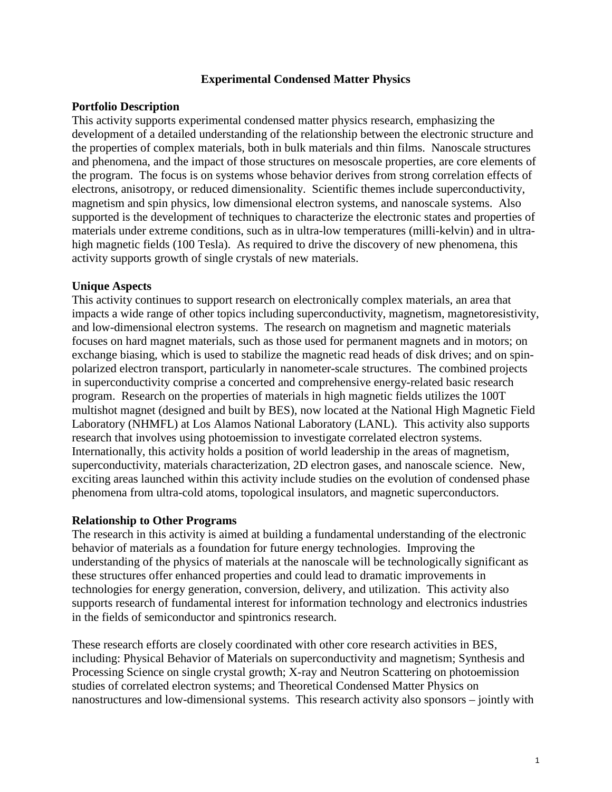## **Experimental Condensed Matter Physics**

## **Portfolio Description**

This activity supports experimental condensed matter physics research, emphasizing the development of a detailed understanding of the relationship between the electronic structure and the properties of complex materials, both in bulk materials and thin films. Nanoscale structures and phenomena, and the impact of those structures on mesoscale properties, are core elements of the program. The focus is on systems whose behavior derives from strong correlation effects of electrons, anisotropy, or reduced dimensionality. Scientific themes include superconductivity, magnetism and spin physics, low dimensional electron systems, and nanoscale systems. Also supported is the development of techniques to characterize the electronic states and properties of materials under extreme conditions, such as in ultra-low temperatures (milli-kelvin) and in ultrahigh magnetic fields (100 Tesla). As required to drive the discovery of new phenomena, this activity supports growth of single crystals of new materials.

## **Unique Aspects**

This activity continues to support research on electronically complex materials, an area that impacts a wide range of other topics including superconductivity, magnetism, magnetoresistivity, and low-dimensional electron systems. The research on magnetism and magnetic materials focuses on hard magnet materials, such as those used for permanent magnets and in motors; on exchange biasing, which is used to stabilize the magnetic read heads of disk drives; and on spinpolarized electron transport, particularly in nanometer-scale structures. The combined projects in superconductivity comprise a concerted and comprehensive energy-related basic research program. Research on the properties of materials in high magnetic fields utilizes the 100T multishot magnet (designed and built by BES), now located at the National High Magnetic Field Laboratory (NHMFL) at Los Alamos National Laboratory (LANL). This activity also supports research that involves using photoemission to investigate correlated electron systems. Internationally, this activity holds a position of world leadership in the areas of magnetism, superconductivity, materials characterization, 2D electron gases, and nanoscale science. New, exciting areas launched within this activity include studies on the evolution of condensed phase phenomena from ultra-cold atoms, topological insulators, and magnetic superconductors.

## **Relationship to Other Programs**

The research in this activity is aimed at building a fundamental understanding of the electronic behavior of materials as a foundation for future energy technologies. Improving the understanding of the physics of materials at the nanoscale will be technologically significant as these structures offer enhanced properties and could lead to dramatic improvements in technologies for energy generation, conversion, delivery, and utilization. This activity also supports research of fundamental interest for information technology and electronics industries in the fields of semiconductor and spintronics research.

These research efforts are closely coordinated with other core research activities in BES, including: Physical Behavior of Materials on superconductivity and magnetism; Synthesis and Processing Science on single crystal growth; X-ray and Neutron Scattering on photoemission studies of correlated electron systems; and Theoretical Condensed Matter Physics on nanostructures and low-dimensional systems. This research activity also sponsors – jointly with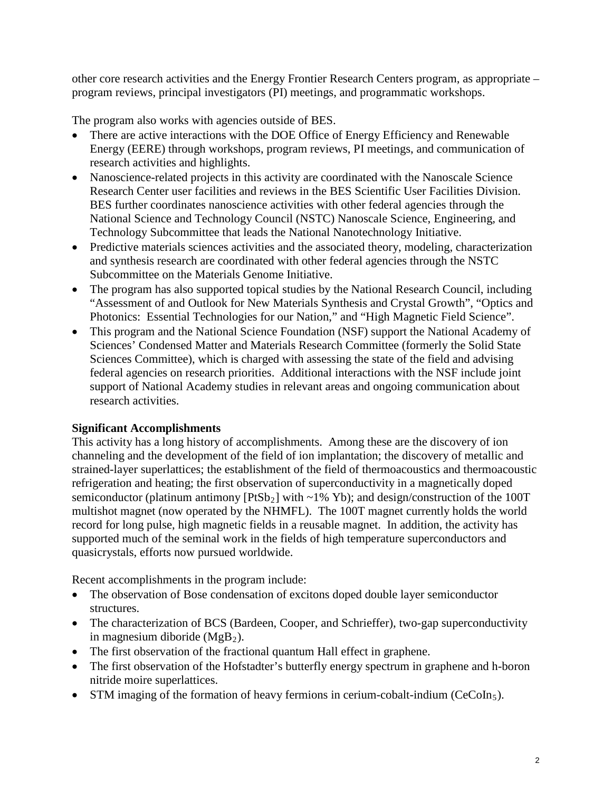other core research activities and the Energy Frontier Research Centers program, as appropriate – program reviews, principal investigators (PI) meetings, and programmatic workshops.

The program also works with agencies outside of BES.

- There are active interactions with the DOE Office of Energy Efficiency and Renewable Energy (EERE) through workshops, program reviews, PI meetings, and communication of research activities and highlights.
- Nanoscience-related projects in this activity are coordinated with the Nanoscale Science Research Center user facilities and reviews in the BES Scientific User Facilities Division. BES further coordinates nanoscience activities with other federal agencies through the National Science and Technology Council (NSTC) Nanoscale Science, Engineering, and Technology Subcommittee that leads the National Nanotechnology Initiative.
- Predictive materials sciences activities and the associated theory, modeling, characterization and synthesis research are coordinated with other federal agencies through the NSTC Subcommittee on the Materials Genome Initiative.
- The program has also supported topical studies by the National Research Council, including "Assessment of and Outlook for New Materials Synthesis and Crystal Growth", "Optics and Photonics: Essential Technologies for our Nation," and "High Magnetic Field Science".
- This program and the National Science Foundation (NSF) support the National Academy of Sciences' Condensed Matter and Materials Research Committee (formerly the Solid State Sciences Committee), which is charged with assessing the state of the field and advising federal agencies on research priorities. Additional interactions with the NSF include joint support of National Academy studies in relevant areas and ongoing communication about research activities.

# **Significant Accomplishments**

This activity has a long history of accomplishments. Among these are the discovery of ion channeling and the development of the field of ion implantation; the discovery of metallic and strained-layer superlattices; the establishment of the field of thermoacoustics and thermoacoustic refrigeration and heating; the first observation of superconductivity in a magnetically doped semiconductor (platinum antimony  $[PtSb_2]$  with ~1% Yb); and design/construction of the 100T multishot magnet (now operated by the NHMFL). The 100T magnet currently holds the world record for long pulse, high magnetic fields in a reusable magnet. In addition, the activity has supported much of the seminal work in the fields of high temperature superconductors and quasicrystals, efforts now pursued worldwide.

Recent accomplishments in the program include:

- The observation of Bose condensation of excitons doped double layer semiconductor structures.
- The characterization of BCS (Bardeen, Cooper, and Schrieffer), two-gap superconductivity in magnesium diboride  $(MgB<sub>2</sub>)$ .
- The first observation of the fractional quantum Hall effect in graphene.
- The first observation of the Hofstadter's butterfly energy spectrum in graphene and h-boron nitride moire superlattices.
- STM imaging of the formation of heavy fermions in cerium-cobalt-indium ( $CeCoIn<sub>5</sub>$ ).